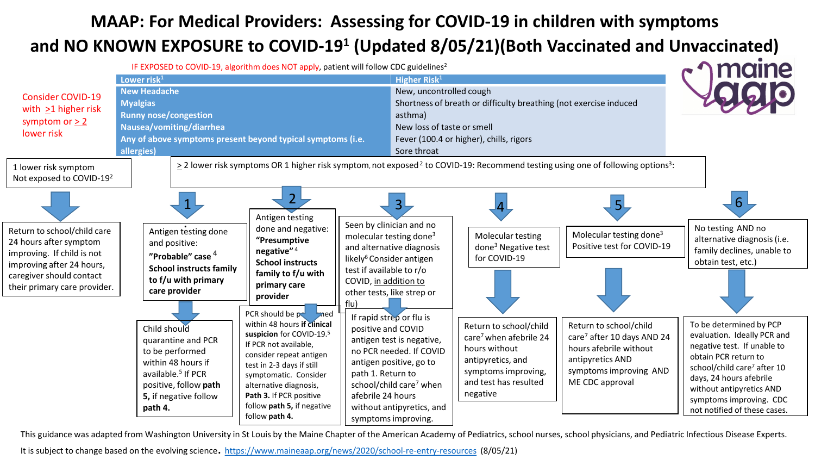### **MAAP: For Medical Providers: Assessing for COVID-19 in children with symptoms and NO KNOWN EXPOSURE to COVID-191 (Updated 8/05/21)(Both Vaccinated and Unvaccinated)**



This guidance was adapted from Washington University in St Louis by the Maine Chapter of the American Academy of Pediatrics, school nurses, school physicians, and Pediatric Infectious Disease Experts.

It is subject to change based on the evolving science. <https://www.maineaap.org/news/2020/school-re-entry-resources> (8/05/21)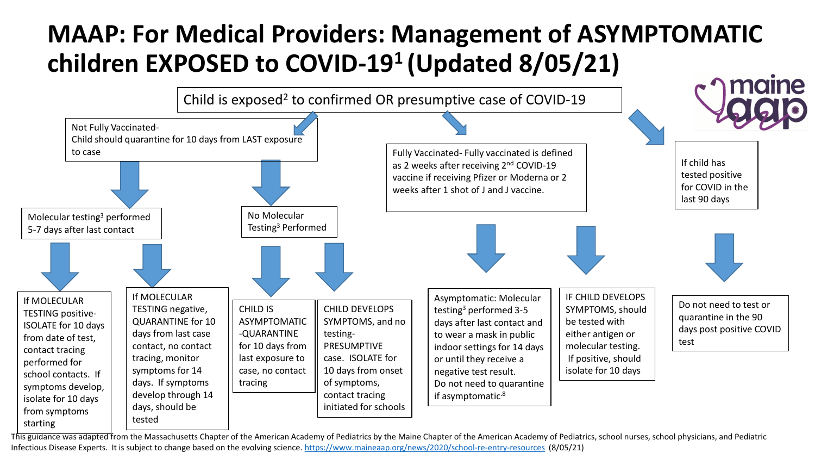## **MAAP: For Medical Providers: Management of ASYMPTOMATIC children EXPOSED to COVID-191 (Updated 8/05/21)**



This guidance was adapted from the Massachusetts Chapter of the American Academy of Pediatrics by the Maine Chapter of the American Academy of Pediatrics, school nurses, school physicians, and Pediatric Infectious Disease Experts. It is subject to change based on the evolving science. <https://www.maineaap.org/news/2020/school-re-entry-resources> (8/05/21)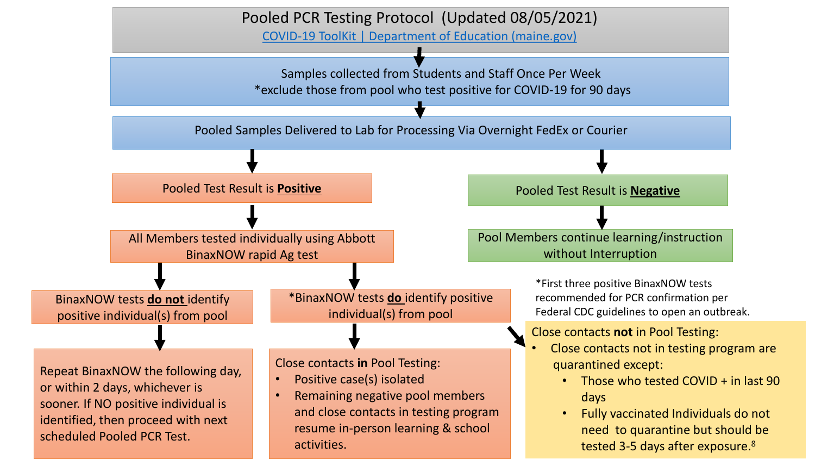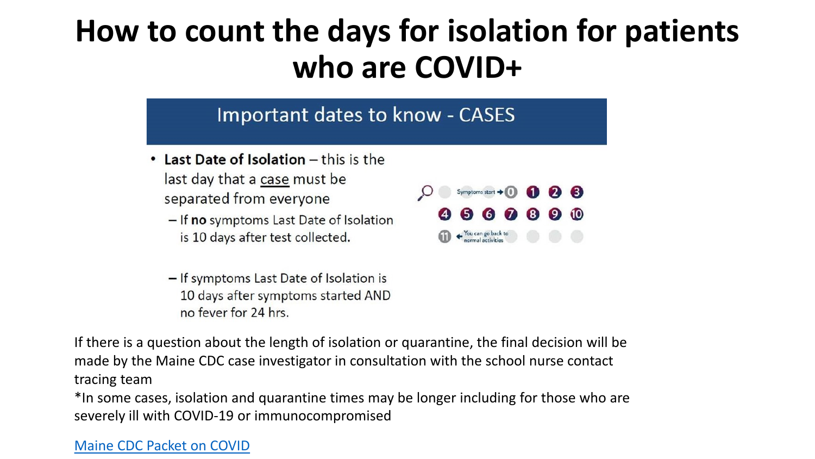## **How to count the days for isolation for patients who are COVID+**

### Important dates to know - CASES

- Last Date of Isolation this is the last day that a case must be separated from everyone
	- If no symptoms Last Date of Isolation is 10 days after test collected.
	- If symptoms Last Date of Isolation is 10 days after symptoms started AND no fever for 24 hrs.



If there is a question about the length of isolation or quarantine, the final decision will be made by the Maine CDC case investigator in consultation with the school nurse contact tracing team

\*In some cases, isolation and quarantine times may be longer including for those who are severely ill with COVID-19 or immunocompromised

#### [Maine CDC Packet on COVID](https://www.maine.gov/dhhs/mecdc/infectious-disease/epi/airborne/documents/Individual-COVID-Packet-1.pdf)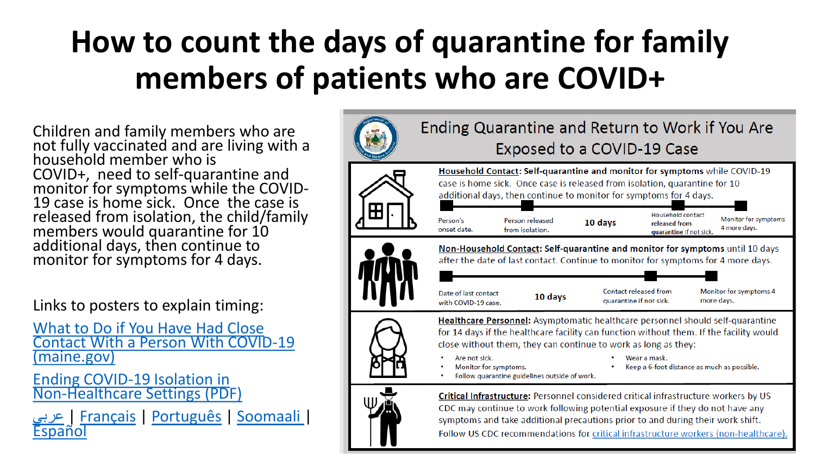# **How to count the days of quarantine for family members of patients who are COVID+**

Children and family members who are not fully vaccinated and are living with a household member who is COVID+, need to self-quarantine and monitor for symptoms while the COVID- 19 case is home sick. Once the case is released from isolation, the child/family members would quarantine for 10 additional days, then continue to monitor for symptoms for 4 days.

Links to posters to explain timing:

What to Do if You Have Had Close [Contact With a Person With COVID-19](https://www.maine.gov/dhhs/mecdc/infectious-disease/epi/airborne/documents/Quarantine-CO-v2.pdf) (maine.gov)

Ending COVID-19 Isolation in [Non-Healthcare Settings \(PDF\)](https://gcc02.safelinks.protection.outlook.com/?url=https%3A%2F%2Fwww.maine.gov%2Fdhhs%2Fmecdc%2Finfectious-disease%2Fepi%2Fairborne%2Fdocuments%2FCOVID-19-Discontinuation-of-Isolation.pdf&data=04%7C01%7Camy.belisle%40maine.gov%7C30d02cc7fdf34c5defdb08d8cf97af74%7C413fa8ab207d4b629bcdea1a8f2f864e%7C0%7C0%7C637487597817437727%7CUnknown%7CTWFpbGZsb3d8eyJWIjoiMC4wLjAwMDAiLCJQIjoiV2luMzIiLCJBTiI6Ik1haWwiLCJXVCI6Mn0%3D%7C1000&sdata=hiYRx2FkasHY%2BSJXUHWFBn6O14hOo8wXvNx0XQfVtwI%3D&reserved=0)

[عربي](https://gcc02.safelinks.protection.outlook.com/?url=https%3A%2F%2Fwww.maine.gov%2Fdhhs%2Fmecdc%2Finfectious-disease%2Fepi%2Fairborne%2Fdocuments%2FEnding-COVID-19-Isolation_Arabic_Final.pdf&data=04%7C01%7Camy.belisle%40maine.gov%7C30d02cc7fdf34c5defdb08d8cf97af74%7C413fa8ab207d4b629bcdea1a8f2f864e%7C0%7C0%7C637487597817437727%7CUnknown%7CTWFpbGZsb3d8eyJWIjoiMC4wLjAwMDAiLCJQIjoiV2luMzIiLCJBTiI6Ik1haWwiLCJXVCI6Mn0%3D%7C1000&sdata=jEoFegIrwV37s1ylkqzqhYjWnBhbBE8Q8CB0nN9iK%2Bc%3D&reserved=0) <sup>|</sup> [Français](https://gcc02.safelinks.protection.outlook.com/?url=https%3A%2F%2Fwww.maine.gov%2Fdhhs%2Fmecdc%2Finfectious-disease%2Fepi%2Fairborne%2Fdocuments%2FEnding-COVID-19-Isolation_French_Final.pdf&data=04%7C01%7Camy.belisle%40maine.gov%7C30d02cc7fdf34c5defdb08d8cf97af74%7C413fa8ab207d4b629bcdea1a8f2f864e%7C0%7C0%7C637487597817447684%7CUnknown%7CTWFpbGZsb3d8eyJWIjoiMC4wLjAwMDAiLCJQIjoiV2luMzIiLCJBTiI6Ik1haWwiLCJXVCI6Mn0%3D%7C1000&sdata=LUG8b8Mlqmk43qumsWqaU93tP5JBBEnWwV3WKKq9464%3D&reserved=0) <sup>|</sup> [Português](https://gcc02.safelinks.protection.outlook.com/?url=https%3A%2F%2Fwww.maine.gov%2Fdhhs%2Fmecdc%2Finfectious-disease%2Fepi%2Fairborne%2Fdocuments%2FEnding-COVID-19-Isolation_Portuguese_Final.pdf&data=04%7C01%7Camy.belisle%40maine.gov%7C30d02cc7fdf34c5defdb08d8cf97af74%7C413fa8ab207d4b629bcdea1a8f2f864e%7C0%7C0%7C637487597817447684%7CUnknown%7CTWFpbGZsb3d8eyJWIjoiMC4wLjAwMDAiLCJQIjoiV2luMzIiLCJBTiI6Ik1haWwiLCJXVCI6Mn0%3D%7C1000&sdata=Dlm50ib8w%2BxyjR7%2B%2Bbk4T6xHtsQCAWMNI%2Fg7TJUaOJU%3D&reserved=0) <sup>|</sup> [Soomaali](https://gcc02.safelinks.protection.outlook.com/?url=https%3A%2F%2Fwww.maine.gov%2Fdhhs%2Fmecdc%2Finfectious-disease%2Fepi%2Fairborne%2Fdocuments%2FEnding-COVID-19-Isolation_Somali_Final.pdf&data=04%7C01%7Camy.belisle%40maine.gov%7C30d02cc7fdf34c5defdb08d8cf97af74%7C413fa8ab207d4b629bcdea1a8f2f864e%7C0%7C0%7C637487597817447684%7CUnknown%7CTWFpbGZsb3d8eyJWIjoiMC4wLjAwMDAiLCJQIjoiV2luMzIiLCJBTiI6Ik1haWwiLCJXVCI6Mn0%3D%7C1000&sdata=AktUns5WhLrYjDLM3Cb48RVWJ6Wfpdpj6nSENZS4ozE%3D&reserved=0) <sup>|</sup> [Español](https://gcc02.safelinks.protection.outlook.com/?url=https%3A%2F%2Fwww.maine.gov%2Fdhhs%2Fmecdc%2Finfectious-disease%2Fepi%2Fairborne%2Fdocuments%2FEnding-COVID-19-Isolation_Spanish_Final.pdf&data=04%7C01%7Camy.belisle%40maine.gov%7C30d02cc7fdf34c5defdb08d8cf97af74%7C413fa8ab207d4b629bcdea1a8f2f864e%7C0%7C0%7C637487597817457641%7CUnknown%7CTWFpbGZsb3d8eyJWIjoiMC4wLjAwMDAiLCJQIjoiV2luMzIiLCJBTiI6Ik1haWwiLCJXVCI6Mn0%3D%7C1000&sdata=oOHGduuZNgfNR%2FlTWIc4yEEIkp0nA0RhaxNrSm9YUys%3D&reserved=0)